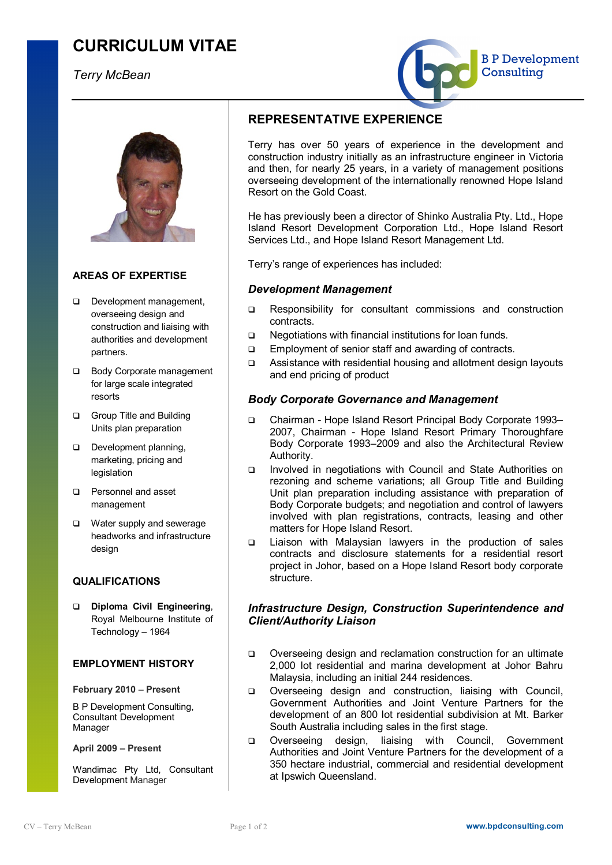# **CURRICULUM VITAE**

*Terry McBean*





## **AREAS OF EXPERTISE**

- **Q** Development management. overseeing design and construction and liaising with authorities and development partners.
- q Body Corporate management for large scale integrated resorts
- **Q** Group Title and Building Units plan preparation
- Development planning. marketing, pricing and legislation
- **Q** Personnel and asset management
- □ Water supply and sewerage headworks and infrastructure design

## **QUALIFICATIONS**

q **Diploma Civil Engineering**, Royal Melbourne Institute of Technology – 1964

## **EMPLOYMENT HISTORY**

### **February 2010 – Present**

B P Development Consulting, Consultant Development Manager

#### **April 2009 – Present**

Wandimac Pty Ltd, Consultant Development Manager

## **REPRESENTATIVE EXPERIENCE**

Terry has over 50 years of experience in the development and construction industry initially as an infrastructure engineer in Victoria and then, for nearly 25 years, in a variety of management positions overseeing development of the internationally renowned Hope Island Resort on the Gold Coast.

He has previously been a director of Shinko Australia Pty. Ltd., Hope Island Resort Development Corporation Ltd., Hope Island Resort Services Ltd., and Hope Island Resort Management Ltd.

Terry's range of experiences has included:

## *Development Management*

- q Responsibility for consultant commissions and construction contracts.
- q Negotiations with financial institutions for loan funds.
- q Employment of senior staff and awarding of contracts.
- q Assistance with residential housing and allotment design layouts and end pricing of product

## *Body Corporate Governance and Management*

- q Chairman Hope Island Resort Principal Body Corporate 1993– 2007, Chairman - Hope Island Resort Primary Thoroughfare Body Corporate 1993–2009 and also the Architectural Review Authority.
- q Involved in negotiations with Council and State Authorities on rezoning and scheme variations; all Group Title and Building Unit plan preparation including assistance with preparation of Body Corporate budgets; and negotiation and control of lawyers involved with plan registrations, contracts, leasing and other matters for Hope Island Resort.
- q Liaison with Malaysian lawyers in the production of sales contracts and disclosure statements for a residential resort project in Johor, based on a Hope Island Resort body corporate structure.

## *Infrastructure Design, Construction Superintendence and Client/Authority Liaison*

- q Overseeing design and reclamation construction for an ultimate 2,000 lot residential and marina development at Johor Bahru Malaysia, including an initial 244 residences.
- q Overseeing design and construction, liaising with Council, Government Authorities and Joint Venture Partners for the development of an 800 lot residential subdivision at Mt. Barker South Australia including sales in the first stage.
- q Overseeing design, liaising with Council, Government Authorities and Joint Venture Partners for the development of a 350 hectare industrial, commercial and residential development at Ipswich Queensland.